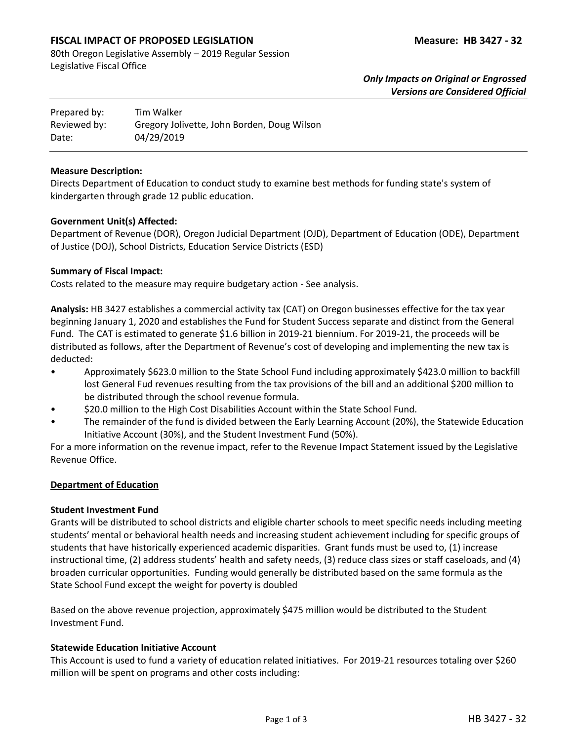# **FISCAL IMPACT OF PROPOSED LEGISLATION Measure: HB 3427 - 32**

80th Oregon Legislative Assembly – 2019 Regular Session Legislative Fiscal Office

> *Only Impacts on Original or Engrossed Versions are Considered Official*

| Prepared by: | Tim Walker                                  |
|--------------|---------------------------------------------|
| Reviewed by: | Gregory Jolivette, John Borden, Doug Wilson |
| Date:        | 04/29/2019                                  |

#### **Measure Description:**

Directs Department of Education to conduct study to examine best methods for funding state's system of kindergarten through grade 12 public education.

## **Government Unit(s) Affected:**

Department of Revenue (DOR), Oregon Judicial Department (OJD), Department of Education (ODE), Department of Justice (DOJ), School Districts, Education Service Districts (ESD)

### **Summary of Fiscal Impact:**

Costs related to the measure may require budgetary action - See analysis.

**Analysis:** HB 3427 establishes a commercial activity tax (CAT) on Oregon businesses effective for the tax year beginning January 1, 2020 and establishes the Fund for Student Success separate and distinct from the General Fund. The CAT is estimated to generate \$1.6 billion in 2019-21 biennium. For 2019-21, the proceeds will be distributed as follows, after the Department of Revenue's cost of developing and implementing the new tax is deducted:

- Approximately \$623.0 million to the State School Fund including approximately \$423.0 million to backfill lost General Fud revenues resulting from the tax provisions of the bill and an additional \$200 million to be distributed through the school revenue formula.
- \$20.0 million to the High Cost Disabilities Account within the State School Fund.
- The remainder of the fund is divided between the Early Learning Account (20%), the Statewide Education Initiative Account (30%), and the Student Investment Fund (50%).

For a more information on the revenue impact, refer to the Revenue Impact Statement issued by the Legislative Revenue Office.

#### **Department of Education**

## **Student Investment Fund**

Grants will be distributed to school districts and eligible charter schools to meet specific needs including meeting students' mental or behavioral health needs and increasing student achievement including for specific groups of students that have historically experienced academic disparities. Grant funds must be used to, (1) increase instructional time, (2) address students' health and safety needs, (3) reduce class sizes or staff caseloads, and (4) broaden curricular opportunities. Funding would generally be distributed based on the same formula as the State School Fund except the weight for poverty is doubled

Based on the above revenue projection, approximately \$475 million would be distributed to the Student Investment Fund.

#### **Statewide Education Initiative Account**

This Account is used to fund a variety of education related initiatives. For 2019-21 resources totaling over \$260 million will be spent on programs and other costs including: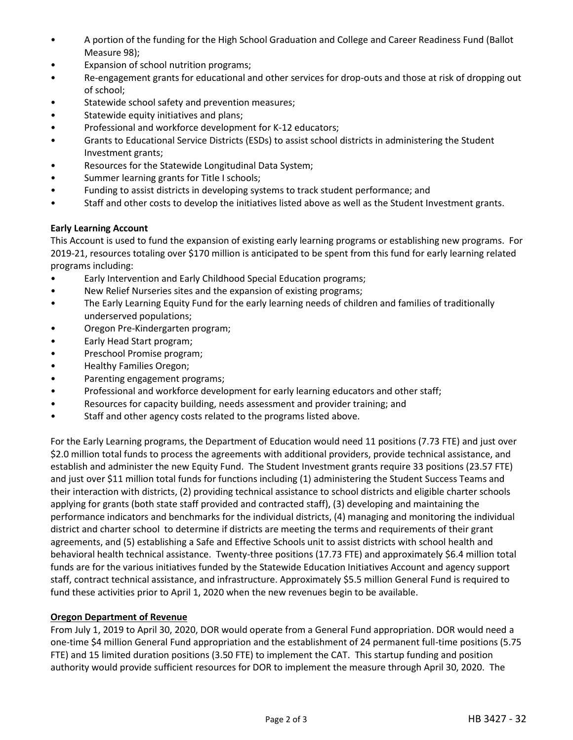- A portion of the funding for the High School Graduation and College and Career Readiness Fund (Ballot Measure 98);
- Expansion of school nutrition programs;
- Re-engagement grants for educational and other services for drop-outs and those at risk of dropping out of school;
- Statewide school safety and prevention measures;
- Statewide equity initiatives and plans;
- Professional and workforce development for K-12 educators;
- Grants to Educational Service Districts (ESDs) to assist school districts in administering the Student Investment grants;
- Resources for the Statewide Longitudinal Data System;
- Summer learning grants for Title I schools;
- Funding to assist districts in developing systems to track student performance; and
- Staff and other costs to develop the initiatives listed above as well as the Student Investment grants.

## **Early Learning Account**

This Account is used to fund the expansion of existing early learning programs or establishing new programs. For 2019-21, resources totaling over \$170 million is anticipated to be spent from this fund for early learning related programs including:

- Early Intervention and Early Childhood Special Education programs;
- New Relief Nurseries sites and the expansion of existing programs;
- The Early Learning Equity Fund for the early learning needs of children and families of traditionally underserved populations;
- Oregon Pre-Kindergarten program;
- Early Head Start program;
- Preschool Promise program;
- Healthy Families Oregon;
- Parenting engagement programs;
- Professional and workforce development for early learning educators and other staff;
- Resources for capacity building, needs assessment and provider training; and
- Staff and other agency costs related to the programs listed above.

For the Early Learning programs, the Department of Education would need 11 positions (7.73 FTE) and just over \$2.0 million total funds to process the agreements with additional providers, provide technical assistance, and establish and administer the new Equity Fund. The Student Investment grants require 33 positions (23.57 FTE) and just over \$11 million total funds for functions including (1) administering the Student Success Teams and their interaction with districts, (2) providing technical assistance to school districts and eligible charter schools applying for grants (both state staff provided and contracted staff), (3) developing and maintaining the performance indicators and benchmarks for the individual districts, (4) managing and monitoring the individual district and charter school to determine if districts are meeting the terms and requirements of their grant agreements, and (5) establishing a Safe and Effective Schools unit to assist districts with school health and behavioral health technical assistance. Twenty-three positions (17.73 FTE) and approximately \$6.4 million total funds are for the various initiatives funded by the Statewide Education Initiatives Account and agency support staff, contract technical assistance, and infrastructure. Approximately \$5.5 million General Fund is required to fund these activities prior to April 1, 2020 when the new revenues begin to be available.

## **Oregon Department of Revenue**

From July 1, 2019 to April 30, 2020, DOR would operate from a General Fund appropriation. DOR would need a one-time \$4 million General Fund appropriation and the establishment of 24 permanent full-time positions (5.75 FTE) and 15 limited duration positions (3.50 FTE) to implement the CAT. This startup funding and position authority would provide sufficient resources for DOR to implement the measure through April 30, 2020. The